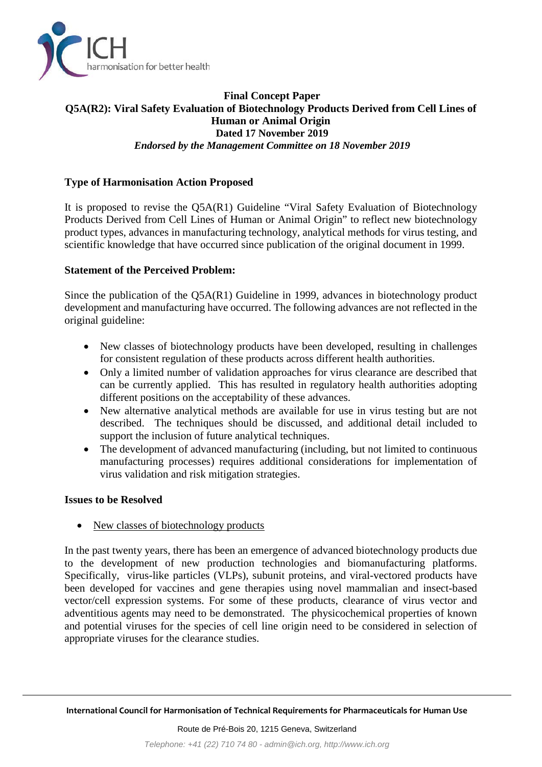

## **Final Concept Paper Q5A(R2): Viral Safety Evaluation of Biotechnology Products Derived from Cell Lines of Human or Animal Origin Dated 17 November 2019** *Endorsed by the Management Committee on 18 November 2019*

# **Type of Harmonisation Action Proposed**

It is proposed to revise the Q5A(R1) Guideline "Viral Safety Evaluation of Biotechnology Products Derived from Cell Lines of Human or Animal Origin" to reflect new biotechnology product types, advances in manufacturing technology, analytical methods for virus testing, and scientific knowledge that have occurred since publication of the original document in 1999.

### **Statement of the Perceived Problem:**

Since the publication of the Q5A(R1) Guideline in 1999, advances in biotechnology product development and manufacturing have occurred. The following advances are not reflected in the original guideline:

- New classes of biotechnology products have been developed, resulting in challenges for consistent regulation of these products across different health authorities.
- Only a limited number of validation approaches for virus clearance are described that can be currently applied. This has resulted in regulatory health authorities adopting different positions on the acceptability of these advances.
- New alternative analytical methods are available for use in virus testing but are not described. The techniques should be discussed, and additional detail included to support the inclusion of future analytical techniques.
- The development of advanced manufacturing (including, but not limited to continuous manufacturing processes) requires additional considerations for implementation of virus validation and risk mitigation strategies.

#### **Issues to be Resolved**

• New classes of biotechnology products

In the past twenty years, there has been an emergence of advanced biotechnology products due to the development of new production technologies and biomanufacturing platforms. Specifically, virus-like particles (VLPs), subunit proteins, and viral-vectored products have been developed for vaccines and gene therapies using novel mammalian and insect-based vector/cell expression systems. For some of these products, clearance of virus vector and adventitious agents may need to be demonstrated. The physicochemical properties of known and potential viruses for the species of cell line origin need to be considered in selection of appropriate viruses for the clearance studies.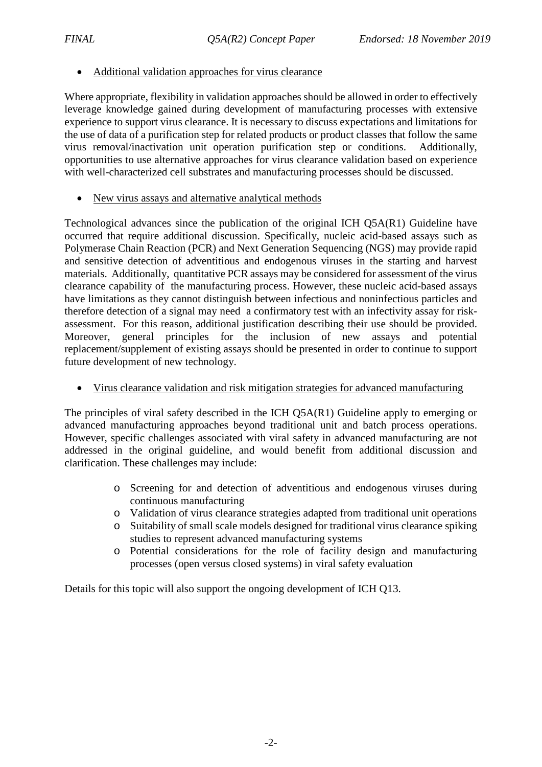### • Additional validation approaches for virus clearance

Where appropriate, flexibility in validation approaches should be allowed in order to effectively leverage knowledge gained during development of manufacturing processes with extensive experience to support virus clearance. It is necessary to discuss expectations and limitations for the use of data of a purification step for related products or product classes that follow the same virus removal/inactivation unit operation purification step or conditions. Additionally, opportunities to use alternative approaches for virus clearance validation based on experience with well-characterized cell substrates and manufacturing processes should be discussed.

• New virus assays and alternative analytical methods

Technological advances since the publication of the original ICH Q5A(R1) Guideline have occurred that require additional discussion. Specifically, nucleic acid-based assays such as Polymerase Chain Reaction (PCR) and Next Generation Sequencing (NGS) may provide rapid and sensitive detection of adventitious and endogenous viruses in the starting and harvest materials. Additionally, quantitative PCR assays may be considered for assessment of the virus clearance capability of the manufacturing process. However, these nucleic acid-based assays have limitations as they cannot distinguish between infectious and noninfectious particles and therefore detection of a signal may need a confirmatory test with an infectivity assay for riskassessment. For this reason, additional justification describing their use should be provided. Moreover, general principles for the inclusion of new assays and potential replacement/supplement of existing assays should be presented in order to continue to support future development of new technology.

• Virus clearance validation and risk mitigation strategies for advanced manufacturing

The principles of viral safety described in the ICH Q5A(R1) Guideline apply to emerging or advanced manufacturing approaches beyond traditional unit and batch process operations. However, specific challenges associated with viral safety in advanced manufacturing are not addressed in the original guideline, and would benefit from additional discussion and clarification. These challenges may include:

- o Screening for and detection of adventitious and endogenous viruses during continuous manufacturing
- o Validation of virus clearance strategies adapted from traditional unit operations
- o Suitability of small scale models designed for traditional virus clearance spiking studies to represent advanced manufacturing systems
- o Potential considerations for the role of facility design and manufacturing processes (open versus closed systems) in viral safety evaluation

Details for this topic will also support the ongoing development of ICH Q13.